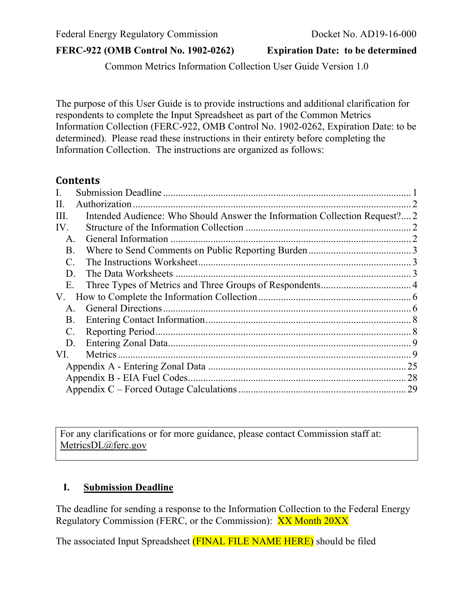Common Metrics Information Collection User Guide Version 1.0

The purpose of this User Guide is to provide instructions and additional clarification for respondents to complete the Input Spreadsheet as part of the Common Metrics Information Collection (FERC-922, OMB Control No. 1902-0262, Expiration Date: to be determined). Please read these instructions in their entirety before completing the Information Collection. The instructions are organized as follows:

#### **Contents**

| $\mathbf{I}$ .        |                                                                            |  |  |  |
|-----------------------|----------------------------------------------------------------------------|--|--|--|
| Н.                    |                                                                            |  |  |  |
| III.                  | Intended Audience: Who Should Answer the Information Collection Request? 2 |  |  |  |
| IV.                   |                                                                            |  |  |  |
| A.                    |                                                                            |  |  |  |
| Β.                    |                                                                            |  |  |  |
| $\mathcal{C}_{\cdot}$ |                                                                            |  |  |  |
| D.                    |                                                                            |  |  |  |
| E.                    |                                                                            |  |  |  |
| V.                    |                                                                            |  |  |  |
| Α.                    |                                                                            |  |  |  |
| B.                    |                                                                            |  |  |  |
| $\mathcal{C}$ .       |                                                                            |  |  |  |
| D.                    |                                                                            |  |  |  |
| VI.                   |                                                                            |  |  |  |
|                       |                                                                            |  |  |  |
|                       |                                                                            |  |  |  |
|                       |                                                                            |  |  |  |

For any clarifications or for more guidance, please contact Commission staff at: [MetricsDL@ferc.gov](mailto:MetricsDL@ferc.gov)

#### <span id="page-0-0"></span>**I. Submission Deadline**

The deadline for sending a response to the Information Collection to the Federal Energy Regulatory Commission (FERC, or the Commission): XX Month 20XX

The associated Input Spreadsheet (FINAL FILE NAME HERE) should be filed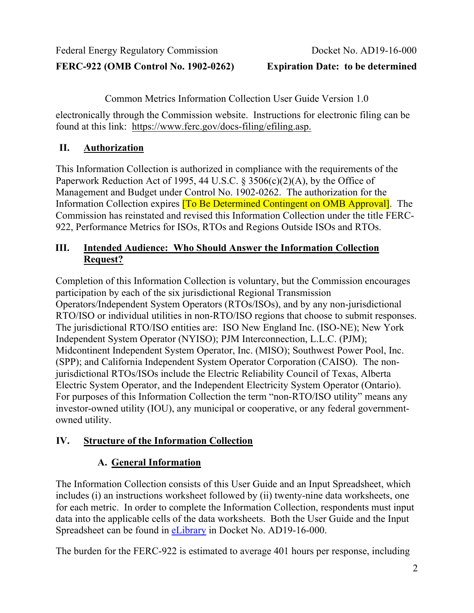**FERC-922 (OMB Control No. 1902-0262) Expiration Date: to be determined**

Common Metrics Information Collection User Guide Version 1.0

electronically through the Commission website. Instructions for electronic filing can be found at this link: [https://www.ferc.gov/docs-filing/efiling.asp.](https://www.ferc.gov/docs-filing/efiling.asp)

# <span id="page-1-0"></span>**II. Authorization**

This Information Collection is authorized in compliance with the requirements of the Paperwork Reduction Act of 1995, 44 U.S.C.  $\S 3506(c)(2)(A)$ , by the Office of Management and Budget under Control No. 1902-0262. The authorization for the Information Collection expires [To Be Determined Contingent on OMB Approval]. The Commission has reinstated and revised this Information Collection under the title FERC-922, Performance Metrics for ISOs, RTOs and Regions Outside ISOs and RTOs.

# <span id="page-1-1"></span>**III. Intended Audience: Who Should Answer the Information Collection Request?**

Completion of this Information Collection is voluntary, but the Commission encourages participation by each of the six jurisdictional Regional Transmission Operators/Independent System Operators (RTOs/ISOs), and by any non-jurisdictional RTO/ISO or individual utilities in non-RTO/ISO regions that choose to submit responses. The jurisdictional RTO/ISO entities are: ISO New England Inc. (ISO-NE); New York Independent System Operator (NYISO); PJM Interconnection, L.L.C. (PJM); Midcontinent Independent System Operator, Inc. (MISO); Southwest Power Pool, Inc. (SPP); and California Independent System Operator Corporation (CAISO). The nonjurisdictional RTOs/ISOs include the Electric Reliability Council of Texas, Alberta Electric System Operator, and the Independent Electricity System Operator (Ontario). For purposes of this Information Collection the term "non-RTO/ISO utility" means any investor-owned utility (IOU), any municipal or cooperative, or any federal governmentowned utility.

# <span id="page-1-3"></span><span id="page-1-2"></span>**IV. Structure of the Information Collection**

# **A. General Information**

The Information Collection consists of this User Guide and an Input Spreadsheet, which includes (i) an instructions worksheet followed by (ii) twenty-nine data worksheets, one for each metric. In order to complete the Information Collection, respondents must input data into the applicable cells of the data worksheets. Both the User Guide and the Input Spreadsheet can be found in [eLibrary](https://www.ferc.gov/docs-filing/elibrary.asp) in Docket No. AD19-16-000.

The burden for the FERC-922 is estimated to average 401 hours per response, including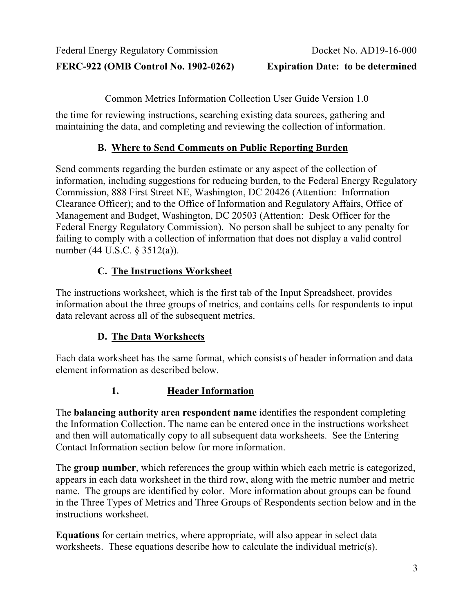Common Metrics Information Collection User Guide Version 1.0

the time for reviewing instructions, searching existing data sources, gathering and maintaining the data, and completing and reviewing the collection of information.

# **B. Where to Send Comments on Public Reporting Burden**

<span id="page-2-0"></span>Send comments regarding the burden estimate or any aspect of the collection of information, including suggestions for reducing burden, to the Federal Energy Regulatory Commission, 888 First Street NE, Washington, DC 20426 (Attention: Information Clearance Officer); and to the Office of Information and Regulatory Affairs, Office of Management and Budget, Washington, DC 20503 (Attention: Desk Officer for the Federal Energy Regulatory Commission). No person shall be subject to any penalty for failing to comply with a collection of information that does not display a valid control number (44 U.S.C. § 3512(a)).

# **C. The Instructions Worksheet**

<span id="page-2-1"></span>The instructions worksheet, which is the first tab of the Input Spreadsheet, provides information about the three groups of metrics, and contains cells for respondents to input data relevant across all of the subsequent metrics.

# **D. The Data Worksheets**

<span id="page-2-2"></span>Each data worksheet has the same format, which consists of header information and data element information as described below.

# **1. Header Information**

The **balancing authority area respondent name** identifies the respondent completing the Information Collection. The name can be entered once in the instructions worksheet and then will automatically copy to all subsequent data worksheets. See the Entering Contact Information section below for more information.

The **group number**, which references the group within which each metric is categorized, appears in each data worksheet in the third row, along with the metric number and metric name. The groups are identified by color. More information about groups can be found in the Three Types of Metrics and Three Groups of Respondents section below and in the instructions worksheet.

**Equations** for certain metrics, where appropriate, will also appear in select data worksheets. These equations describe how to calculate the individual metric(s).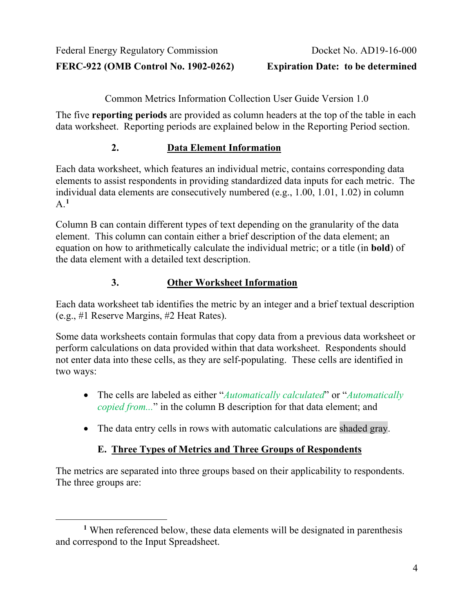Common Metrics Information Collection User Guide Version 1.0

The five **reporting periods** are provided as column headers at the top of the table in each data worksheet. Reporting periods are explained below in the Reporting Period section.

#### **2. Data Element Information**

Each data worksheet, which features an individual metric, contains corresponding data elements to assist respondents in providing standardized data inputs for each metric. The individual data elements are consecutively numbered (e.g., 1.00, 1.01, 1.02) in column A.**[1](#page-3-1)**

Column B can contain different types of text depending on the granularity of the data element. This column can contain either a brief description of the data element; an equation on how to arithmetically calculate the individual metric; or a title (in **bold**) of the data element with a detailed text description.

#### **3. Other Worksheet Information**

Each data worksheet tab identifies the metric by an integer and a brief textual description (e.g., #1 Reserve Margins, #2 Heat Rates).

Some data worksheets contain formulas that copy data from a previous data worksheet or perform calculations on data provided within that data worksheet. Respondents should not enter data into these cells, as they are self-populating. These cells are identified in two ways:

- The cells are labeled as either "*Automatically calculated*" or "*Automatically copied from...*" in the column B description for that data element; and
- The data entry cells in rows with automatic calculations are shaded gray.

# **E. Three Types of Metrics and Three Groups of Respondents**

<span id="page-3-0"></span>The metrics are separated into three groups based on their applicability to respondents. The three groups are:

<span id="page-3-1"></span>**<sup>1</sup>** When referenced below, these data elements will be designated in parenthesis and correspond to the Input Spreadsheet.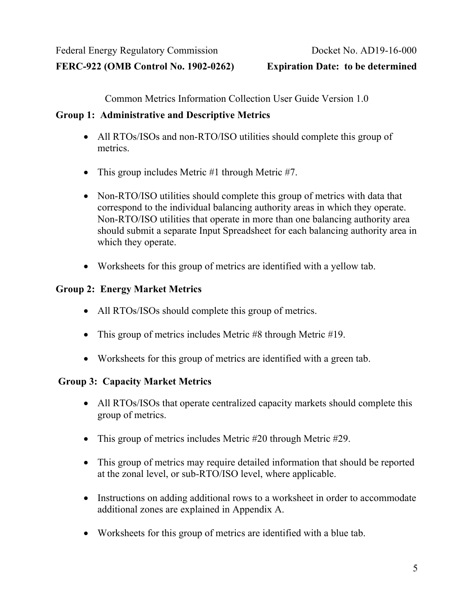Common Metrics Information Collection User Guide Version 1.0

#### **Group 1: Administrative and Descriptive Metrics**

- All RTOs/ISOs and non-RTO/ISO utilities should complete this group of metrics.
- This group includes Metric #1 through Metric #7.
- Non-RTO/ISO utilities should complete this group of metrics with data that correspond to the individual balancing authority areas in which they operate. Non-RTO/ISO utilities that operate in more than one balancing authority area should submit a separate Input Spreadsheet for each balancing authority area in which they operate.
- Worksheets for this group of metrics are identified with a yellow tab.

#### **Group 2: Energy Market Metrics**

- All RTOs/ISOs should complete this group of metrics.
- This group of metrics includes Metric #8 through Metric #19.
- Worksheets for this group of metrics are identified with a green tab.

# **Group 3: Capacity Market Metrics**

- All RTOs/ISOs that operate centralized capacity markets should complete this group of metrics.
- This group of metrics includes Metric #20 through Metric #29.
- This group of metrics may require detailed information that should be reported at the zonal level, or sub-RTO/ISO level, where applicable.
- Instructions on adding additional rows to a worksheet in order to accommodate additional zones are explained in Appendix A.
- Worksheets for this group of metrics are identified with a blue tab.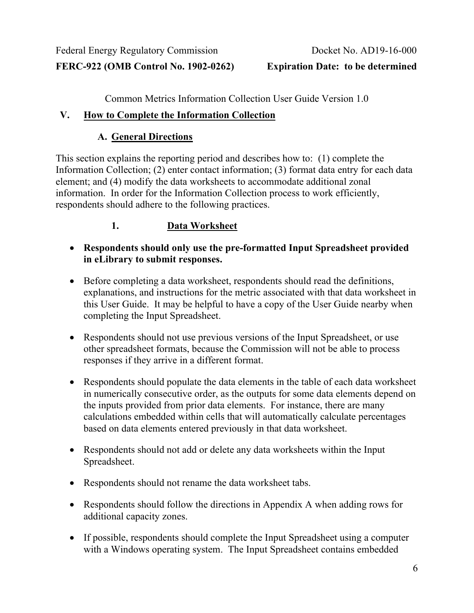Common Metrics Information Collection User Guide Version 1.0

#### <span id="page-5-1"></span><span id="page-5-0"></span>**V. How to Complete the Information Collection**

# **A. General Directions**

This section explains the reporting period and describes how to: (1) complete the Information Collection; (2) enter contact information; (3) format data entry for each data element; and (4) modify the data worksheets to accommodate additional zonal information. In order for the Information Collection process to work efficiently, respondents should adhere to the following practices.

# **1. Data Worksheet**

- **Respondents should only use the pre-formatted Input Spreadsheet provided in eLibrary to submit responses.**
- Before completing a data worksheet, respondents should read the definitions, explanations, and instructions for the metric associated with that data worksheet in this User Guide. It may be helpful to have a copy of the User Guide nearby when completing the Input Spreadsheet.
- Respondents should not use previous versions of the Input Spreadsheet, or use other spreadsheet formats, because the Commission will not be able to process responses if they arrive in a different format.
- Respondents should populate the data elements in the table of each data worksheet in numerically consecutive order, as the outputs for some data elements depend on the inputs provided from prior data elements. For instance, there are many calculations embedded within cells that will automatically calculate percentages based on data elements entered previously in that data worksheet.
- Respondents should not add or delete any data worksheets within the Input Spreadsheet.
- Respondents should not rename the data worksheet tabs.
- Respondents should follow the directions in Appendix A when adding rows for additional capacity zones.
- If possible, respondents should complete the Input Spreadsheet using a computer with a Windows operating system. The Input Spreadsheet contains embedded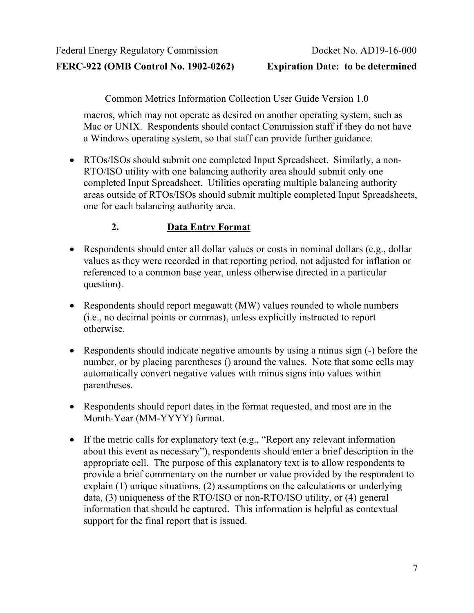Common Metrics Information Collection User Guide Version 1.0

macros, which may not operate as desired on another operating system, such as Mac or UNIX. Respondents should contact Commission staff if they do not have a Windows operating system, so that staff can provide further guidance.

• RTOs/ISOs should submit one completed Input Spreadsheet. Similarly, a non-RTO/ISO utility with one balancing authority area should submit only one completed Input Spreadsheet. Utilities operating multiple balancing authority areas outside of RTOs/ISOs should submit multiple completed Input Spreadsheets, one for each balancing authority area.

# **2. Data Entry Format**

- Respondents should enter all dollar values or costs in nominal dollars (e.g., dollar values as they were recorded in that reporting period, not adjusted for inflation or referenced to a common base year, unless otherwise directed in a particular question).
- Respondents should report megawatt (MW) values rounded to whole numbers (i.e., no decimal points or commas), unless explicitly instructed to report otherwise.
- Respondents should indicate negative amounts by using a minus sign (-) before the number, or by placing parentheses () around the values. Note that some cells may automatically convert negative values with minus signs into values within parentheses.
- Respondents should report dates in the format requested, and most are in the Month-Year (MM-YYYY) format.
- If the metric calls for explanatory text (e.g., "Report any relevant information about this event as necessary"), respondents should enter a brief description in the appropriate cell. The purpose of this explanatory text is to allow respondents to provide a brief commentary on the number or value provided by the respondent to explain (1) unique situations, (2) assumptions on the calculations or underlying data, (3) uniqueness of the RTO/ISO or non-RTO/ISO utility, or (4) general information that should be captured. This information is helpful as contextual support for the final report that is issued.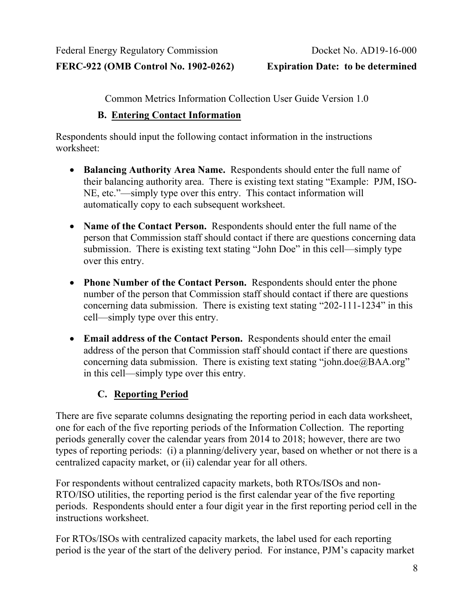**FERC-922 (OMB Control No. 1902-0262) Expiration Date: to be determined**

Common Metrics Information Collection User Guide Version 1.0

#### **B. Entering Contact Information**

<span id="page-7-0"></span>Respondents should input the following contact information in the instructions worksheet:

- **Balancing Authority Area Name.** Respondents should enter the full name of their balancing authority area. There is existing text stating "Example: PJM, ISO-NE, etc."—simply type over this entry. This contact information will automatically copy to each subsequent worksheet.
- **Name of the Contact Person.** Respondents should enter the full name of the person that Commission staff should contact if there are questions concerning data submission. There is existing text stating "John Doe" in this cell—simply type over this entry.
- **Phone Number of the Contact Person.** Respondents should enter the phone number of the person that Commission staff should contact if there are questions concerning data submission. There is existing text stating "202-111-1234" in this cell—simply type over this entry.
- **Email address of the Contact Person.** Respondents should enter the email address of the person that Commission staff should contact if there are questions concerning data submission. There is existing text stating "john.doe@BAA.org" in this cell—simply type over this entry.

# <span id="page-7-1"></span>**C. Reporting Period**

There are five separate columns designating the reporting period in each data worksheet, one for each of the five reporting periods of the Information Collection. The reporting periods generally cover the calendar years from 2014 to 2018; however, there are two types of reporting periods: (i) a planning/delivery year, based on whether or not there is a centralized capacity market, or (ii) calendar year for all others.

For respondents without centralized capacity markets, both RTOs/ISOs and non-RTO/ISO utilities, the reporting period is the first calendar year of the five reporting periods. Respondents should enter a four digit year in the first reporting period cell in the instructions worksheet.

For RTOs/ISOs with centralized capacity markets, the label used for each reporting period is the year of the start of the delivery period. For instance, PJM's capacity market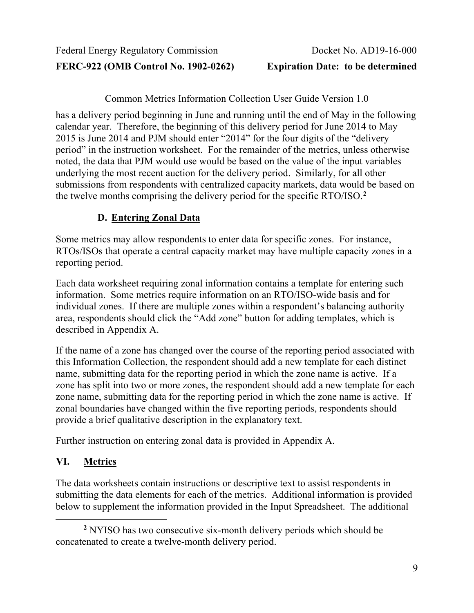Common Metrics Information Collection User Guide Version 1.0

has a delivery period beginning in June and running until the end of May in the following calendar year. Therefore, the beginning of this delivery period for June 2014 to May 2015 is June 2014 and PJM should enter "2014" for the four digits of the "delivery period" in the instruction worksheet. For the remainder of the metrics, unless otherwise noted, the data that PJM would use would be based on the value of the input variables underlying the most recent auction for the delivery period. Similarly, for all other submissions from respondents with centralized capacity markets, data would be based on the twelve months comprising the delivery period for the specific RTO/ISO.**[2](#page-8-2)**

# **D. Entering Zonal Data**

<span id="page-8-0"></span>Some metrics may allow respondents to enter data for specific zones. For instance, RTOs/ISOs that operate a central capacity market may have multiple capacity zones in a reporting period.

Each data worksheet requiring zonal information contains a template for entering such information. Some metrics require information on an RTO/ISO-wide basis and for individual zones. If there are multiple zones within a respondent's balancing authority area, respondents should click the "Add zone" button for adding templates, which is described in Appendix A.

If the name of a zone has changed over the course of the reporting period associated with this Information Collection, the respondent should add a new template for each distinct name, submitting data for the reporting period in which the zone name is active. If a zone has split into two or more zones, the respondent should add a new template for each zone name, submitting data for the reporting period in which the zone name is active. If zonal boundaries have changed within the five reporting periods, respondents should provide a brief qualitative description in the explanatory text.

Further instruction on entering zonal data is provided in Appendix A.

# <span id="page-8-1"></span>**VI. Metrics**

The data worksheets contain instructions or descriptive text to assist respondents in submitting the data elements for each of the metrics. Additional information is provided below to supplement the information provided in the Input Spreadsheet. The additional

<span id="page-8-2"></span>**<sup>2</sup>** NYISO has two consecutive six-month delivery periods which should be concatenated to create a twelve-month delivery period.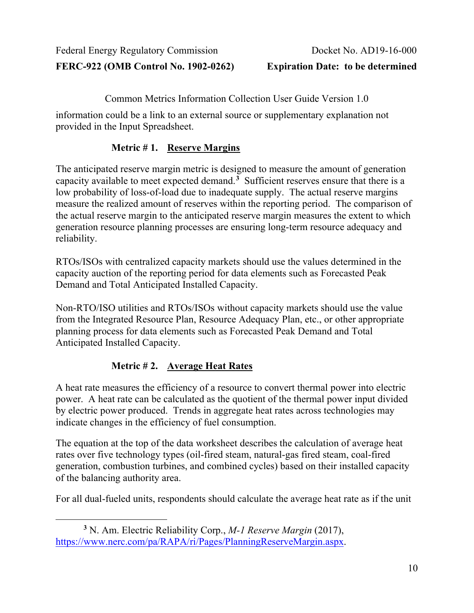Common Metrics Information Collection User Guide Version 1.0

information could be a link to an external source or supplementary explanation not provided in the Input Spreadsheet.

#### **Metric # 1. Reserve Margins**

The anticipated reserve margin metric is designed to measure the amount of generation capacity available to meet expected demand.**[3](#page-9-0)** Sufficient reserves ensure that there is a low probability of loss-of-load due to inadequate supply. The actual reserve margins measure the realized amount of reserves within the reporting period. The comparison of the actual reserve margin to the anticipated reserve margin measures the extent to which generation resource planning processes are ensuring long-term resource adequacy and reliability.

RTOs/ISOs with centralized capacity markets should use the values determined in the capacity auction of the reporting period for data elements such as Forecasted Peak Demand and Total Anticipated Installed Capacity.

Non-RTO/ISO utilities and RTOs/ISOs without capacity markets should use the value from the Integrated Resource Plan, Resource Adequacy Plan, etc., or other appropriate planning process for data elements such as Forecasted Peak Demand and Total Anticipated Installed Capacity.

# **Metric # 2. Average Heat Rates**

A heat rate measures the efficiency of a resource to convert thermal power into electric power. A heat rate can be calculated as the quotient of the thermal power input divided by electric power produced. Trends in aggregate heat rates across technologies may indicate changes in the efficiency of fuel consumption.

The equation at the top of the data worksheet describes the calculation of average heat rates over five technology types (oil-fired steam, natural-gas fired steam, coal-fired generation, combustion turbines, and combined cycles) based on their installed capacity of the balancing authority area.

For all dual-fueled units, respondents should calculate the average heat rate as if the unit

<span id="page-9-0"></span>**<sup>3</sup>** N. Am. Electric Reliability Corp., *M-1 Reserve Margin* (2017), [https://www.nerc.com/pa/RAPA/ri/Pages/PlanningReserveMargin.aspx.](https://www.nerc.com/pa/RAPA/ri/Pages/PlanningReserveMargin.aspx)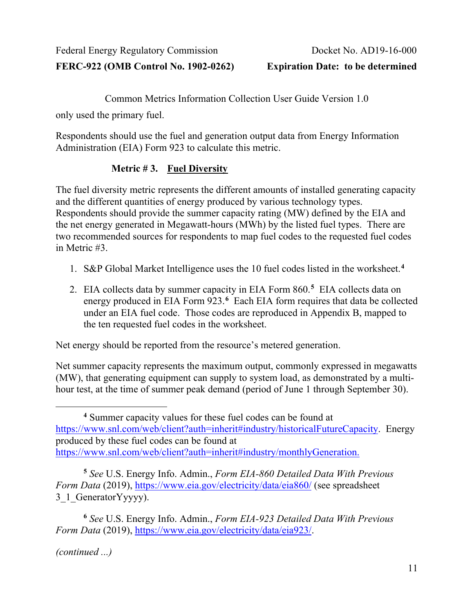Common Metrics Information Collection User Guide Version 1.0

only used the primary fuel.

Respondents should use the fuel and generation output data from Energy Information Administration (EIA) Form 923 to calculate this metric.

# **Metric # 3. Fuel Diversity**

The fuel diversity metric represents the different amounts of installed generating capacity and the different quantities of energy produced by various technology types. Respondents should provide the summer capacity rating (MW) defined by the EIA and the net energy generated in Megawatt-hours (MWh) by the listed fuel types. There are two recommended sources for respondents to map fuel codes to the requested fuel codes in Metric #3.

- 1. S&P Global Market Intelligence uses the 10 fuel codes listed in the worksheet. **[4](#page-10-0)**
- 2. EIA collects data by summer capacity in EIA Form 860. **[5](#page-10-1)** EIA collects data on energy produced in EIA Form 923.**[6](#page-10-2)** Each EIA form requires that data be collected under an EIA fuel code. Those codes are reproduced in Appendix B, mapped to the ten requested fuel codes in the worksheet.

Net energy should be reported from the resource's metered generation.

Net summer capacity represents the maximum output, commonly expressed in megawatts (MW), that generating equipment can supply to system load, as demonstrated by a multihour test, at the time of summer peak demand (period of June 1 through September 30).

*(continued ...)*

<span id="page-10-0"></span>**<sup>4</sup>** Summer capacity values for these fuel codes can be found at [https://www.snl.com/web/client?auth=inherit#industry/historicalFutureCapacity.](https://www.snl.com/web/client?auth=inherit#industry/historicalFutureCapacity) Energy produced by these fuel codes can be found at [https://www.snl.com/web/client?auth=inherit#industry/monthlyGeneration.](https://www.snl.com/web/client?auth=inherit#industry/monthlyGeneration)

<span id="page-10-1"></span>**<sup>5</sup>** *See* U.S. Energy Info. Admin., *Form EIA-860 Detailed Data With Previous Form Data* (2019),<https://www.eia.gov/electricity/data/eia860/> (see spreadsheet 3<sup>1</sup> GeneratorYyyyy).

<span id="page-10-2"></span>**<sup>6</sup>** *See* U.S. Energy Info. Admin., *Form EIA-923 Detailed Data With Previous Form Data* (2019), [https://www.eia.gov/electricity/data/eia923/.](https://www.eia.gov/electricity/data/eia923/)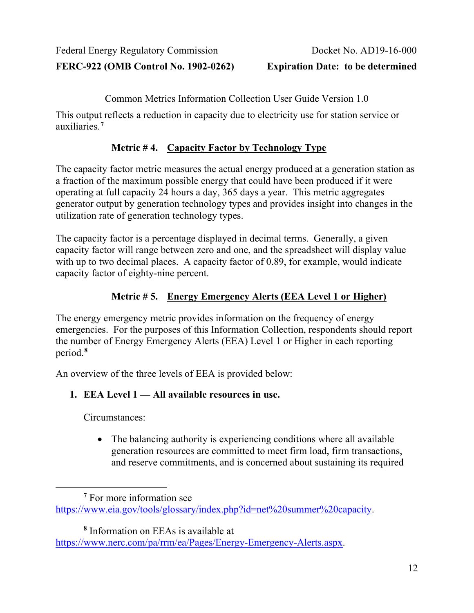Common Metrics Information Collection User Guide Version 1.0

This output reflects a reduction in capacity due to electricity use for station service or auxiliaries.**[7](#page-11-0)**

# **Metric # 4. Capacity Factor by Technology Type**

The capacity factor metric measures the actual energy produced at a generation station as a fraction of the maximum possible energy that could have been produced if it were operating at full capacity 24 hours a day, 365 days a year. This metric aggregates generator output by generation technology types and provides insight into changes in the utilization rate of generation technology types.

The capacity factor is a percentage displayed in decimal terms. Generally, a given capacity factor will range between zero and one, and the spreadsheet will display value with up to two decimal places. A capacity factor of 0.89, for example, would indicate capacity factor of eighty-nine percent.

# **Metric # 5. Energy Emergency Alerts (EEA Level 1 or Higher)**

The energy emergency metric provides information on the frequency of energy emergencies. For the purposes of this Information Collection, respondents should report the number of Energy Emergency Alerts (EEA) Level 1 or Higher in each reporting period.**[8](#page-11-1)**

An overview of the three levels of EEA is provided below:

# **1. EEA Level 1 — All available resources in use.**

Circumstances:

• The balancing authority is experiencing conditions where all available generation resources are committed to meet firm load, firm transactions, and reserve commitments, and is concerned about sustaining its required

**<sup>8</sup>** Information on EEAs is available at

<span id="page-11-0"></span>**<sup>7</sup>** For more information see [https://www.eia.gov/tools/glossary/index.php?id=net%20summer%20capacity.](https://www.eia.gov/tools/glossary/index.php?id=net%20summer%20capacity)

<span id="page-11-1"></span>[https://www.nerc.com/pa/rrm/ea/Pages/Energy-Emergency-Alerts.aspx.](https://www.nerc.com/pa/rrm/ea/Pages/Energy-Emergency-Alerts.aspx)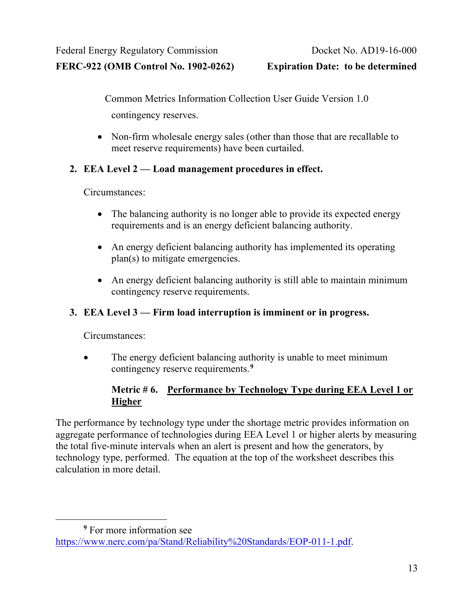Common Metrics Information Collection User Guide Version 1.0 contingency reserves.

• Non-firm wholesale energy sales (other than those that are recallable to meet reserve requirements) have been curtailed.

#### **2. EEA Level 2 — Load management procedures in effect.**

Circumstances:

- The balancing authority is no longer able to provide its expected energy requirements and is an energy deficient balancing authority.
- An energy deficient balancing authority has implemented its operating plan(s) to mitigate emergencies.
- An energy deficient balancing authority is still able to maintain minimum contingency reserve requirements.

#### **3. EEA Level 3 — Firm load interruption is imminent or in progress.**

Circumstances:

• The energy deficient balancing authority is unable to meet minimum contingency reserve requirements.**[9](#page-12-0)**

#### **Metric # 6. Performance by Technology Type during EEA Level 1 or Higher**

The performance by technology type under the shortage metric provides information on aggregate performance of technologies during EEA Level 1 or higher alerts by measuring the total five-minute intervals when an alert is present and how the generators, by technology type, performed. The equation at the top of the worksheet describes this calculation in more detail.

<span id="page-12-0"></span>**<sup>9</sup>** For more information see [https://www.nerc.com/pa/Stand/Reliability%20Standards/EOP-011-1.pdf.](https://www.nerc.com/pa/Stand/Reliability%20Standards/EOP-011-1.pdf)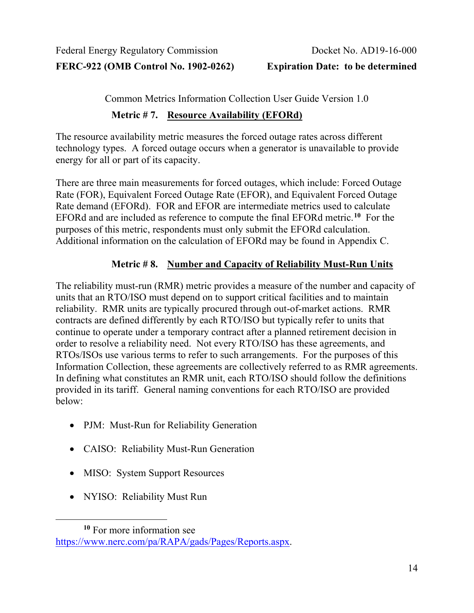Common Metrics Information Collection User Guide Version 1.0

#### **Metric # 7. Resource Availability (EFORd)**

The resource availability metric measures the forced outage rates across different technology types. A forced outage occurs when a generator is unavailable to provide energy for all or part of its capacity.

There are three main measurements for forced outages, which include: Forced Outage Rate (FOR), Equivalent Forced Outage Rate (EFOR), and Equivalent Forced Outage Rate demand (EFORd). FOR and EFOR are intermediate metrics used to calculate EFORd and are included as reference to compute the final EFORd metric.**[10](#page-13-0)** For the purposes of this metric, respondents must only submit the EFORd calculation. Additional information on the calculation of EFORd may be found in Appendix C.

#### **Metric # 8. Number and Capacity of Reliability Must-Run Units**

The reliability must-run (RMR) metric provides a measure of the number and capacity of units that an RTO/ISO must depend on to support critical facilities and to maintain reliability. RMR units are typically procured through out-of-market actions. RMR contracts are defined differently by each RTO/ISO but typically refer to units that continue to operate under a temporary contract after a planned retirement decision in order to resolve a reliability need. Not every RTO/ISO has these agreements, and RTOs/ISOs use various terms to refer to such arrangements. For the purposes of this Information Collection, these agreements are collectively referred to as RMR agreements. In defining what constitutes an RMR unit, each RTO/ISO should follow the definitions provided in its tariff. General naming conventions for each RTO/ISO are provided below:

- PJM: Must-Run for Reliability Generation
- CAISO: Reliability Must-Run Generation
- MISO: System Support Resources
- NYISO: Reliability Must Run

<span id="page-13-0"></span>**<sup>10</sup>** For more information see [https://www.nerc.com/pa/RAPA/gads/Pages/Reports.aspx.](https://www.nerc.com/pa/RAPA/gads/Pages/Reports.aspx)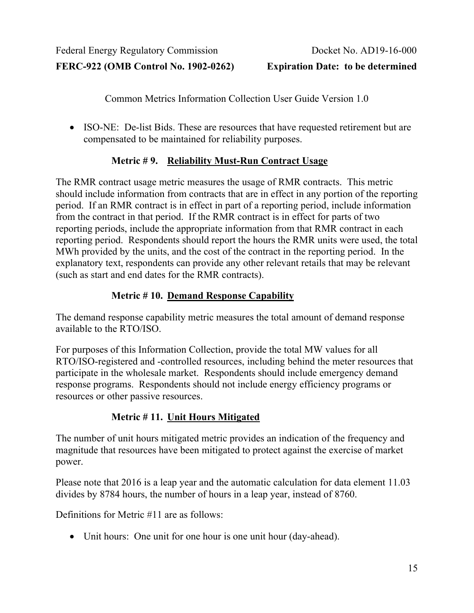Common Metrics Information Collection User Guide Version 1.0

• ISO-NE: De-list Bids. These are resources that have requested retirement but are compensated to be maintained for reliability purposes.

# **Metric # 9. Reliability Must-Run Contract Usage**

The RMR contract usage metric measures the usage of RMR contracts. This metric should include information from contracts that are in effect in any portion of the reporting period. If an RMR contract is in effect in part of a reporting period, include information from the contract in that period. If the RMR contract is in effect for parts of two reporting periods, include the appropriate information from that RMR contract in each reporting period. Respondents should report the hours the RMR units were used, the total MWh provided by the units, and the cost of the contract in the reporting period. In the explanatory text, respondents can provide any other relevant retails that may be relevant (such as start and end dates for the RMR contracts).

# **Metric # 10. Demand Response Capability**

The demand response capability metric measures the total amount of demand response available to the RTO/ISO.

For purposes of this Information Collection, provide the total MW values for all RTO/ISO-registered and -controlled resources, including behind the meter resources that participate in the wholesale market. Respondents should include emergency demand response programs. Respondents should not include energy efficiency programs or resources or other passive resources.

# **Metric # 11. Unit Hours Mitigated**

The number of unit hours mitigated metric provides an indication of the frequency and magnitude that resources have been mitigated to protect against the exercise of market power.

Please note that 2016 is a leap year and the automatic calculation for data element 11.03 divides by 8784 hours, the number of hours in a leap year, instead of 8760.

Definitions for Metric #11 are as follows:

• Unit hours: One unit for one hour is one unit hour (day-ahead).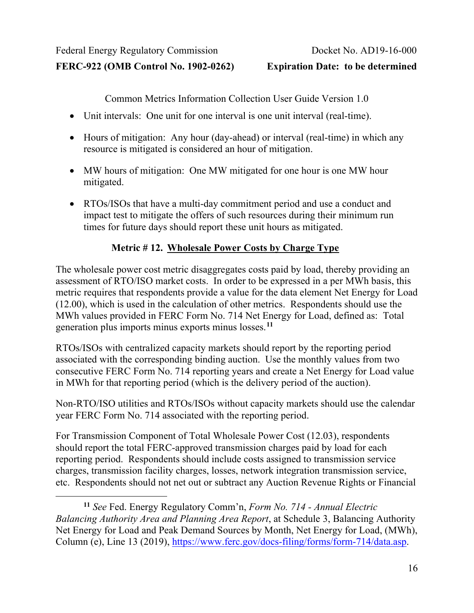Common Metrics Information Collection User Guide Version 1.0

- Unit intervals: One unit for one interval is one unit interval (real-time).
- Hours of mitigation: Any hour (day-ahead) or interval (real-time) in which any resource is mitigated is considered an hour of mitigation.
- MW hours of mitigation: One MW mitigated for one hour is one MW hour mitigated.
- RTOs/ISOs that have a multi-day commitment period and use a conduct and impact test to mitigate the offers of such resources during their minimum run times for future days should report these unit hours as mitigated.

# **Metric # 12. Wholesale Power Costs by Charge Type**

The wholesale power cost metric disaggregates costs paid by load, thereby providing an assessment of RTO/ISO market costs. In order to be expressed in a per MWh basis, this metric requires that respondents provide a value for the data element Net Energy for Load (12.00), which is used in the calculation of other metrics. Respondents should use the MWh values provided in FERC Form No. 714 Net Energy for Load, defined as: Total generation plus imports minus exports minus losses. **[11](#page-15-0)**

RTOs/ISOs with centralized capacity markets should report by the reporting period associated with the corresponding binding auction. Use the monthly values from two consecutive FERC Form No. 714 reporting years and create a Net Energy for Load value in MWh for that reporting period (which is the delivery period of the auction).

Non-RTO/ISO utilities and RTOs/ISOs without capacity markets should use the calendar year FERC Form No. 714 associated with the reporting period.

For Transmission Component of Total Wholesale Power Cost (12.03), respondents should report the total FERC-approved transmission charges paid by load for each reporting period. Respondents should include costs assigned to transmission service charges, transmission facility charges, losses, network integration transmission service, etc. Respondents should not net out or subtract any Auction Revenue Rights or Financial

<span id="page-15-0"></span>**<sup>11</sup>** *See* Fed. Energy Regulatory Comm'n, *Form No. 714 - Annual Electric Balancing Authority Area and Planning Area Report*, at Schedule 3, Balancing Authority Net Energy for Load and Peak Demand Sources by Month, Net Energy for Load, (MWh), Column (e), Line 13 (2019), [https://www.ferc.gov/docs-filing/forms/form-714/data.asp.](https://www.ferc.gov/docs-filing/forms/form-714/data.asp)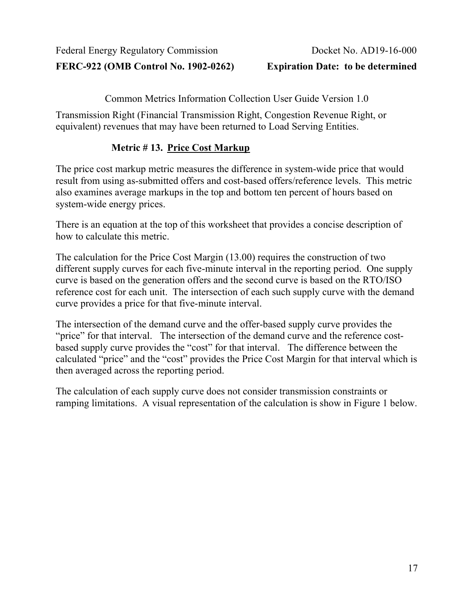Common Metrics Information Collection User Guide Version 1.0

Transmission Right (Financial Transmission Right, Congestion Revenue Right, or equivalent) revenues that may have been returned to Load Serving Entities.

# **Metric # 13. Price Cost Markup**

The price cost markup metric measures the difference in system-wide price that would result from using as-submitted offers and cost-based offers/reference levels. This metric also examines average markups in the top and bottom ten percent of hours based on system-wide energy prices.

There is an equation at the top of this worksheet that provides a concise description of how to calculate this metric.

The calculation for the Price Cost Margin (13.00) requires the construction of two different supply curves for each five-minute interval in the reporting period. One supply curve is based on the generation offers and the second curve is based on the RTO/ISO reference cost for each unit. The intersection of each such supply curve with the demand curve provides a price for that five-minute interval.

The intersection of the demand curve and the offer-based supply curve provides the "price" for that interval. The intersection of the demand curve and the reference costbased supply curve provides the "cost" for that interval. The difference between the calculated "price" and the "cost" provides the Price Cost Margin for that interval which is then averaged across the reporting period.

The calculation of each supply curve does not consider transmission constraints or ramping limitations. A visual representation of the calculation is show in [Figure 1](#page-17-0) below.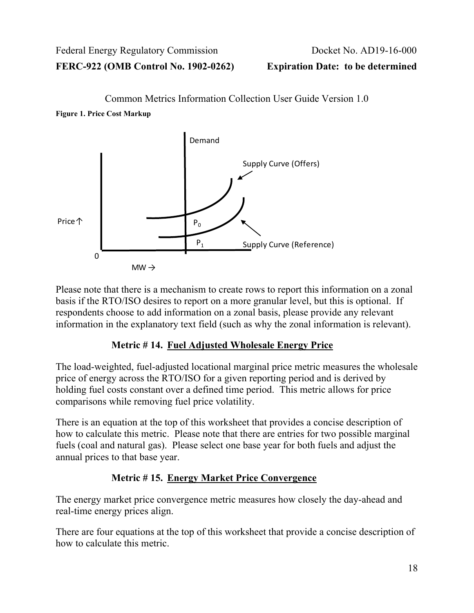# Common Metrics Information Collection User Guide Version 1.0

<span id="page-17-0"></span>**Figure 1. Price Cost Markup**



Please note that there is a mechanism to create rows to report this information on a zonal basis if the RTO/ISO desires to report on a more granular level, but this is optional. If respondents choose to add information on a zonal basis, please provide any relevant information in the explanatory text field (such as why the zonal information is relevant).

# **Metric # 14. Fuel Adjusted Wholesale Energy Price**

The load-weighted, fuel-adjusted locational marginal price metric measures the wholesale price of energy across the RTO/ISO for a given reporting period and is derived by holding fuel costs constant over a defined time period. This metric allows for price comparisons while removing fuel price volatility.

There is an equation at the top of this worksheet that provides a concise description of how to calculate this metric. Please note that there are entries for two possible marginal fuels (coal and natural gas). Please select one base year for both fuels and adjust the annual prices to that base year.

# **Metric # 15. Energy Market Price Convergence**

The energy market price convergence metric measures how closely the day-ahead and real-time energy prices align.

There are four equations at the top of this worksheet that provide a concise description of how to calculate this metric.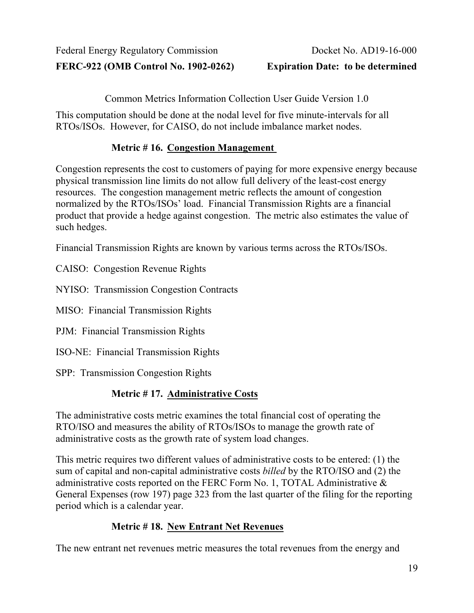Common Metrics Information Collection User Guide Version 1.0

This computation should be done at the nodal level for five minute-intervals for all RTOs/ISOs. However, for CAISO, do not include imbalance market nodes.

#### **Metric # 16. Congestion Management**

Congestion represents the cost to customers of paying for more expensive energy because physical transmission line limits do not allow full delivery of the least-cost energy resources. The congestion management metric reflects the amount of congestion normalized by the RTOs/ISOs' load. Financial Transmission Rights are a financial product that provide a hedge against congestion. The metric also estimates the value of such hedges.

Financial Transmission Rights are known by various terms across the RTOs/ISOs.

CAISO: Congestion Revenue Rights

NYISO: Transmission Congestion Contracts

MISO: Financial Transmission Rights

PJM: Financial Transmission Rights

ISO-NE: Financial Transmission Rights

SPP: Transmission Congestion Rights

# **Metric # 17. Administrative Costs**

The administrative costs metric examines the total financial cost of operating the RTO/ISO and measures the ability of RTOs/ISOs to manage the growth rate of administrative costs as the growth rate of system load changes.

This metric requires two different values of administrative costs to be entered: (1) the sum of capital and non-capital administrative costs *billed* by the RTO/ISO and (2) the administrative costs reported on the FERC Form No. 1, TOTAL Administrative & General Expenses (row 197) page 323 from the last quarter of the filing for the reporting period which is a calendar year.

# **Metric # 18. New Entrant Net Revenues**

The new entrant net revenues metric measures the total revenues from the energy and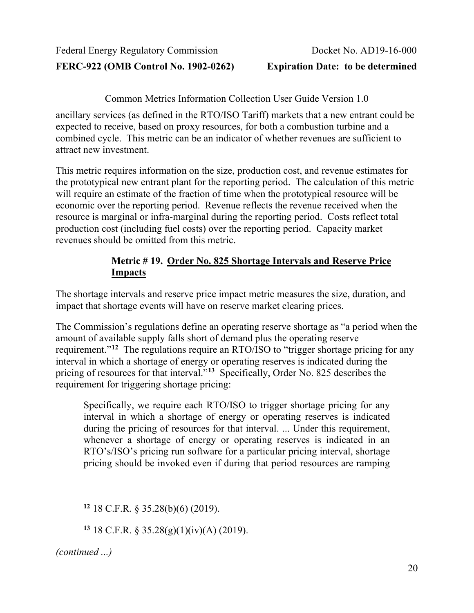**FERC-922 (OMB Control No. 1902-0262) Expiration Date: to be determined**

Common Metrics Information Collection User Guide Version 1.0

ancillary services (as defined in the RTO/ISO Tariff) markets that a new entrant could be expected to receive, based on proxy resources, for both a combustion turbine and a combined cycle. This metric can be an indicator of whether revenues are sufficient to attract new investment.

This metric requires information on the size, production cost, and revenue estimates for the prototypical new entrant plant for the reporting period. The calculation of this metric will require an estimate of the fraction of time when the prototypical resource will be economic over the reporting period. Revenue reflects the revenue received when the resource is marginal or infra-marginal during the reporting period. Costs reflect total production cost (including fuel costs) over the reporting period. Capacity market revenues should be omitted from this metric.

#### **Metric # 19. Order No. 825 Shortage Intervals and Reserve Price Impacts**

The shortage intervals and reserve price impact metric measures the size, duration, and impact that shortage events will have on reserve market clearing prices.

The Commission's regulations define an operating reserve shortage as "a period when the amount of available supply falls short of demand plus the operating reserve requirement."**[12](#page-19-0)** The regulations require an RTO/ISO to "trigger shortage pricing for any interval in which a shortage of energy or operating reserves is indicated during the pricing of resources for that interval.<sup>7[13](#page-19-1)</sup> Specifically, Order No. 825 describes the requirement for triggering shortage pricing:

Specifically, we require each RTO/ISO to trigger shortage pricing for any interval in which a shortage of energy or operating reserves is indicated during the pricing of resources for that interval. ... Under this requirement, whenever a shortage of energy or operating reserves is indicated in an RTO's/ISO's pricing run software for a particular pricing interval, shortage pricing should be invoked even if during that period resources are ramping

**<sup>13</sup>** 18 C.F.R. § 35.28(g)(1)(iv)(A) (2019).

<span id="page-19-1"></span><span id="page-19-0"></span>*(continued ...)*

**<sup>12</sup>** 18 C.F.R. § 35.28(b)(6) (2019).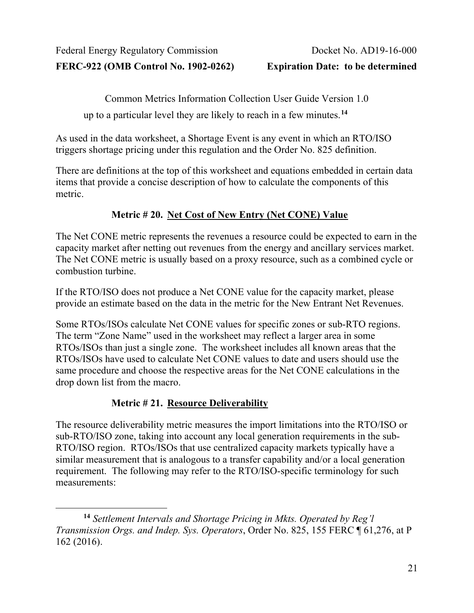Common Metrics Information Collection User Guide Version 1.0

up to a particular level they are likely to reach in a few minutes.**[14](#page-20-0)**

As used in the data worksheet, a Shortage Event is any event in which an RTO/ISO triggers shortage pricing under this regulation and the Order No. 825 definition.

There are definitions at the top of this worksheet and equations embedded in certain data items that provide a concise description of how to calculate the components of this metric.

#### **Metric # 20. Net Cost of New Entry (Net CONE) Value**

The Net CONE metric represents the revenues a resource could be expected to earn in the capacity market after netting out revenues from the energy and ancillary services market. The Net CONE metric is usually based on a proxy resource, such as a combined cycle or combustion turbine.

If the RTO/ISO does not produce a Net CONE value for the capacity market, please provide an estimate based on the data in the metric for the New Entrant Net Revenues.

Some RTOs/ISOs calculate Net CONE values for specific zones or sub-RTO regions. The term "Zone Name" used in the worksheet may reflect a larger area in some RTOs/ISOs than just a single zone. The worksheet includes all known areas that the RTOs/ISOs have used to calculate Net CONE values to date and users should use the same procedure and choose the respective areas for the Net CONE calculations in the drop down list from the macro.

# **Metric # 21. Resource Deliverability**

The resource deliverability metric measures the import limitations into the RTO/ISO or sub-RTO/ISO zone, taking into account any local generation requirements in the sub-RTO/ISO region. RTOs/ISOs that use centralized capacity markets typically have a similar measurement that is analogous to a transfer capability and/or a local generation requirement. The following may refer to the RTO/ISO-specific terminology for such measurements:

<span id="page-20-0"></span>**<sup>14</sup>** *Settlement Intervals and Shortage Pricing in Mkts. Operated by Reg'l Transmission Orgs. and Indep. Sys. Operators*, Order No. 825, 155 FERC ¶ 61,276, at P 162 (2016).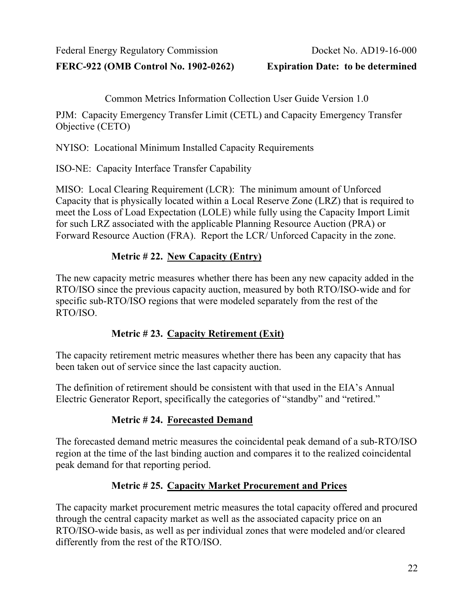**FERC-922 (OMB Control No. 1902-0262) Expiration Date: to be determined**

Common Metrics Information Collection User Guide Version 1.0

PJM: Capacity Emergency Transfer Limit (CETL) and Capacity Emergency Transfer Objective (CETO)

NYISO: Locational Minimum Installed Capacity Requirements

ISO-NE: Capacity Interface Transfer Capability

MISO: Local Clearing Requirement (LCR): The minimum amount of Unforced Capacity that is physically located within a Local Reserve Zone (LRZ) that is required to meet the Loss of Load Expectation (LOLE) while fully using the Capacity Import Limit for such LRZ associated with the applicable Planning Resource Auction (PRA) or Forward Resource Auction (FRA). Report the LCR/ Unforced Capacity in the zone.

# **Metric # 22. New Capacity (Entry)**

The new capacity metric measures whether there has been any new capacity added in the RTO/ISO since the previous capacity auction, measured by both RTO/ISO-wide and for specific sub-RTO/ISO regions that were modeled separately from the rest of the RTO/ISO.

# **Metric # 23. Capacity Retirement (Exit)**

The capacity retirement metric measures whether there has been any capacity that has been taken out of service since the last capacity auction.

The definition of retirement should be consistent with that used in the EIA's Annual Electric Generator Report, specifically the categories of "standby" and "retired."

# **Metric # 24. Forecasted Demand**

The forecasted demand metric measures the coincidental peak demand of a sub-RTO/ISO region at the time of the last binding auction and compares it to the realized coincidental peak demand for that reporting period.

# **Metric # 25. Capacity Market Procurement and Prices**

The capacity market procurement metric measures the total capacity offered and procured through the central capacity market as well as the associated capacity price on an RTO/ISO-wide basis, as well as per individual zones that were modeled and/or cleared differently from the rest of the RTO/ISO.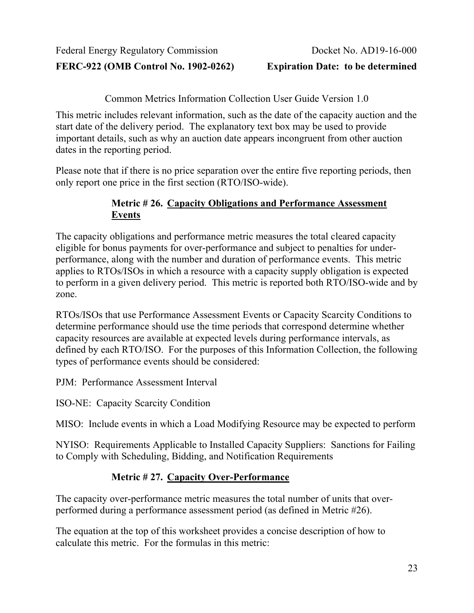**FERC-922 (OMB Control No. 1902-0262) Expiration Date: to be determined**

Common Metrics Information Collection User Guide Version 1.0

This metric includes relevant information, such as the date of the capacity auction and the start date of the delivery period. The explanatory text box may be used to provide important details, such as why an auction date appears incongruent from other auction dates in the reporting period.

Please note that if there is no price separation over the entire five reporting periods, then only report one price in the first section (RTO/ISO-wide).

#### **Metric # 26. Capacity Obligations and Performance Assessment Events**

The capacity obligations and performance metric measures the total cleared capacity eligible for bonus payments for over-performance and subject to penalties for underperformance, along with the number and duration of performance events. This metric applies to RTOs/ISOs in which a resource with a capacity supply obligation is expected to perform in a given delivery period. This metric is reported both RTO/ISO-wide and by zone.

RTOs/ISOs that use Performance Assessment Events or Capacity Scarcity Conditions to determine performance should use the time periods that correspond determine whether capacity resources are available at expected levels during performance intervals, as defined by each RTO/ISO. For the purposes of this Information Collection, the following types of performance events should be considered:

PJM: Performance Assessment Interval

ISO-NE: Capacity Scarcity Condition

MISO: Include events in which a Load Modifying Resource may be expected to perform

NYISO: Requirements Applicable to Installed Capacity Suppliers: Sanctions for Failing to Comply with Scheduling, Bidding, and Notification Requirements

# **Metric # 27. Capacity Over-Performance**

The capacity over-performance metric measures the total number of units that overperformed during a performance assessment period (as defined in Metric #26).

The equation at the top of this worksheet provides a concise description of how to calculate this metric. For the formulas in this metric: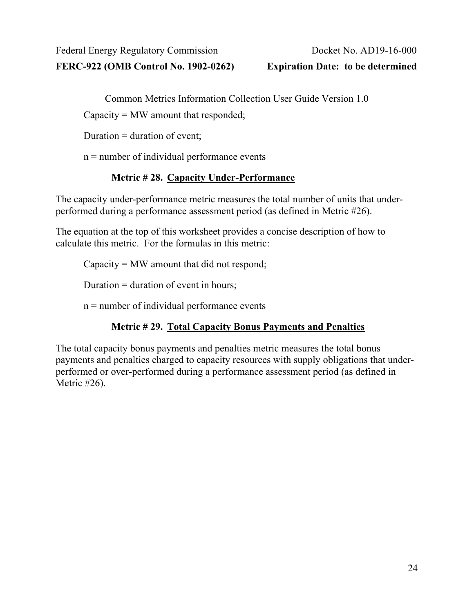**FERC-922 (OMB Control No. 1902-0262) Expiration Date: to be determined**

Common Metrics Information Collection User Guide Version 1.0

Capacity = MW amount that responded;

Duration  $=$  duration of event;

 $n =$  number of individual performance events

# **Metric # 28. Capacity Under-Performance**

The capacity under-performance metric measures the total number of units that underperformed during a performance assessment period (as defined in Metric #26).

The equation at the top of this worksheet provides a concise description of how to calculate this metric. For the formulas in this metric:

Capacity = MW amount that did not respond;

Duration = duration of event in hours;

 $n =$  number of individual performance events

# **Metric # 29. Total Capacity Bonus Payments and Penalties**

The total capacity bonus payments and penalties metric measures the total bonus payments and penalties charged to capacity resources with supply obligations that underperformed or over-performed during a performance assessment period (as defined in Metric #26).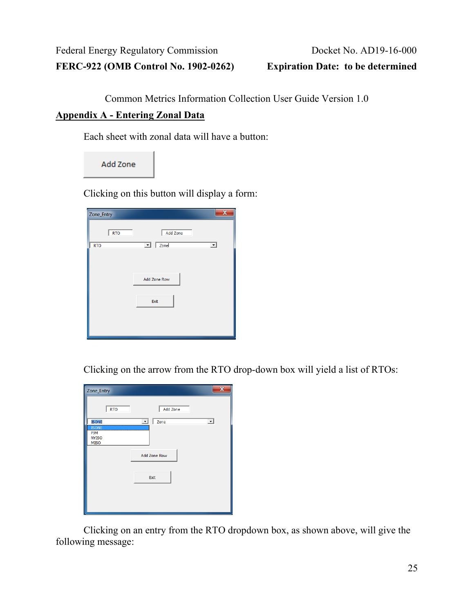Common Metrics Information Collection User Guide Version 1.0

#### <span id="page-24-0"></span>**Appendix A - Entering Zonal Data**

Each sheet with zonal data will have a button:

Add Zone

Clicking on this button will display a form:

| Zone_Entry | $\overline{\mathbf{x}}$           |
|------------|-----------------------------------|
| <b>RTO</b> | Add Zone                          |
| <b>RTO</b> | $\boxed{\blacksquare}$ Zonel<br>⊻ |
|            |                                   |
|            | Add Zone Row                      |
|            | Exit                              |
|            |                                   |
|            |                                   |

Clicking on the arrow from the RTO drop-down box will yield a list of RTOs:

| Zone_Entry          | $\mathbf x$                           |
|---------------------|---------------------------------------|
| <b>RTO</b>          | Add Zone                              |
| <b>ISONE</b>        | $\vert \cdot \vert$<br>ᅬ<br>Zone<br>L |
| <b>ISONE</b>        |                                       |
| PJM<br><b>NYISO</b> |                                       |
| <b>MISO</b>         |                                       |
|                     | Add Zone Row<br>Exit                  |

Clicking on an entry from the RTO dropdown box, as shown above, will give the following message: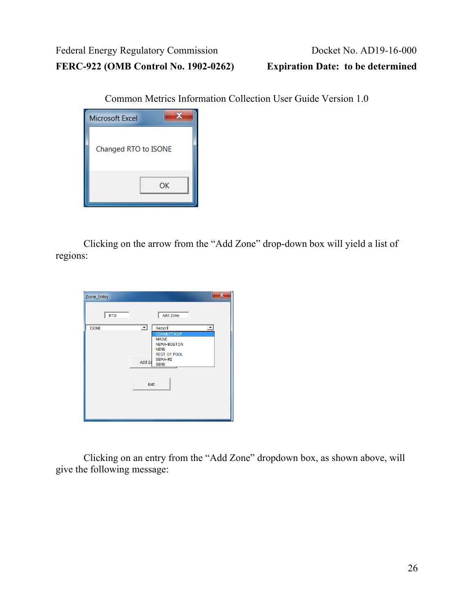Common Metrics Information Collection User Guide Version 1.0



Clicking on the arrow from the "Add Zone" drop-down box will yield a list of regions:

| Zone_Entry   |                                                                                                                                                                                              |
|--------------|----------------------------------------------------------------------------------------------------------------------------------------------------------------------------------------------|
| <b>RTO</b>   | Add Zone                                                                                                                                                                                     |
| <b>ISONE</b> | ᅬ<br>Region<br>$\overline{\phantom{a}}$<br><b>CONNECTICUT</b><br><b>MAINE</b><br><b>NEMA-BOSTON</b><br><b>NENE</b><br><b>REST OF POOL</b><br><b>SEMA-RI</b><br>Add Zo<br><b>SENE</b><br>Exit |

Clicking on an entry from the "Add Zone" dropdown box, as shown above, will give the following message: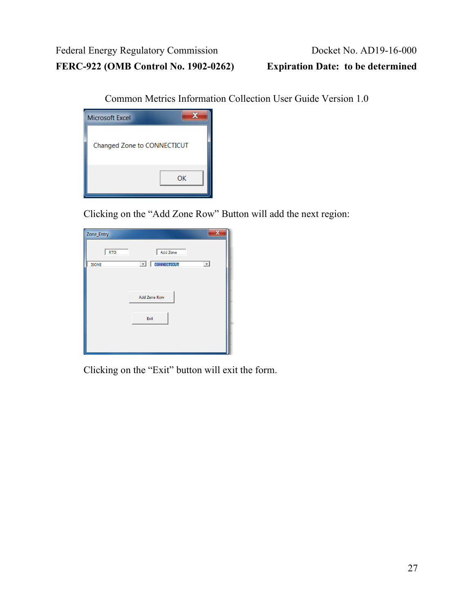Common Metrics Information Collection User Guide Version 1.0

| <b>Microsoft Excel</b>      |    |  |
|-----------------------------|----|--|
| Changed Zone to CONNECTICUT |    |  |
|                             | ОК |  |

Clicking on the "Add Zone Row" Button will add the next region:

| Zone_Entry   |                                                 |
|--------------|-------------------------------------------------|
| <b>RTO</b>   | Add Zone                                        |
| <b>ISONE</b> | <b>CONNECTICUT</b><br>ᅬ<br>$\blacktriangledown$ |
|              |                                                 |
|              | Add Zone Row                                    |
|              |                                                 |
|              | Exit                                            |
|              |                                                 |
|              |                                                 |

Clicking on the "Exit" button will exit the form.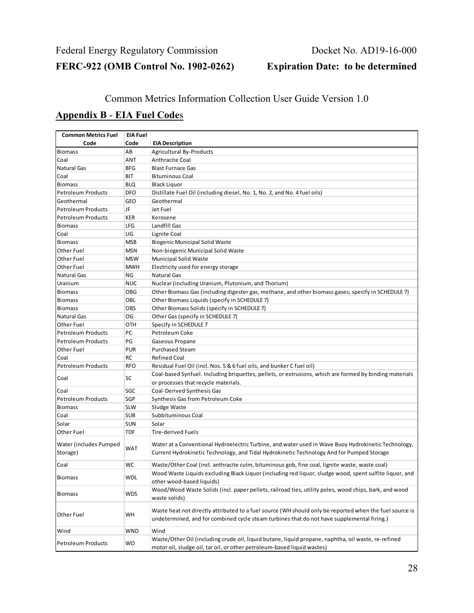#### Common Metrics Information Collection User Guide Version 1.0

#### <span id="page-27-0"></span>**Appendix B** - **EIA Fuel Code**s

| <b>Common Metrics Fuel</b>         | <b>EIA Fuel</b> |                                                                                                                                                                                                       |
|------------------------------------|-----------------|-------------------------------------------------------------------------------------------------------------------------------------------------------------------------------------------------------|
| Code                               | Code            | <b>EIA Description</b>                                                                                                                                                                                |
| <b>Biomass</b>                     | АΒ              | <b>Agricultural By-Products</b>                                                                                                                                                                       |
| Coal                               | ANT             | <b>Anthracite Coal</b>                                                                                                                                                                                |
| <b>Natural Gas</b>                 | BFG             | <b>Blast Furnace Gas</b>                                                                                                                                                                              |
| Coal                               | BIT             | <b>Bituminous Coal</b>                                                                                                                                                                                |
| <b>Biomass</b>                     | BLQ             | <b>Black Liquor</b>                                                                                                                                                                                   |
| <b>Petroleum Products</b>          | DFO             | Distillate Fuel Oil (including diesel, No. 1, No. 2, and No. 4 fuel oils)                                                                                                                             |
| Geothermal                         | GEO             | Geothermal                                                                                                                                                                                            |
| <b>Petroleum Products</b>          | JF              | Jet Fuel                                                                                                                                                                                              |
| <b>Petroleum Products</b>          | KER             | Kerosene                                                                                                                                                                                              |
| <b>Biomass</b>                     | LFG             | Landfill Gas                                                                                                                                                                                          |
| Coal                               | LIG             | Lignite Coal                                                                                                                                                                                          |
| <b>Biomass</b>                     | <b>MSB</b>      | <b>Biogenic Municipal Solid Waste</b>                                                                                                                                                                 |
| Other Fuel                         | MSN             | Non-biogenic Municipal Solid Waste                                                                                                                                                                    |
| Other Fuel                         | MSW             | <b>Municipal Solid Waste</b>                                                                                                                                                                          |
| Other Fuel                         | MWH             | Electricity used for energy storage                                                                                                                                                                   |
| <b>Natural Gas</b>                 | ΝG              | <b>Natural Gas</b>                                                                                                                                                                                    |
| Uranium                            | NUC             | Nuclear (including Uranium, Plutonium, and Thorium)                                                                                                                                                   |
| <b>Biomass</b>                     | OBG             | Other Biomass Gas (including digester gas, methane, and other biomass gases; specify in SCHEDULE 7)                                                                                                   |
| <b>Biomass</b>                     | OBL             | Other Biomass Liquids (specify in SCHEDULE 7)                                                                                                                                                         |
| <b>Biomass</b>                     | OBS             | Other Biomass Solids (specify in SCHEDULE 7)                                                                                                                                                          |
| <b>Natural Gas</b>                 | OG              | Other Gas (specify in SCHEDULE 7)                                                                                                                                                                     |
| <b>Other Fuel</b>                  | OTH             | Specify in SCHEDULE 7                                                                                                                                                                                 |
| <b>Petroleum Products</b>          | PC              | Petroleum Coke                                                                                                                                                                                        |
| <b>Petroleum Products</b>          | PG              |                                                                                                                                                                                                       |
|                                    | PUR             | Gaseous Propane<br><b>Purchased Steam</b>                                                                                                                                                             |
| Other Fuel                         |                 |                                                                                                                                                                                                       |
| Coal                               | RC              | <b>Refined Coal</b>                                                                                                                                                                                   |
| <b>Petroleum Products</b>          | <b>RFO</b>      | Residual Fuel Oil (incl. Nos. 5 & 6 fuel oils, and bunker C fuel oil)                                                                                                                                 |
| Coal                               | SC              | Coal-based Synfuel. Including briquettes, pellets, or extrusions, which are formed by binding materials                                                                                               |
|                                    |                 | or processes that recycle materials.                                                                                                                                                                  |
| Coal                               | SGC             | Coal-Derived Synthesis Gas                                                                                                                                                                            |
| <b>Petroleum Products</b>          | SGP             | Synthesis Gas from Petroleum Coke                                                                                                                                                                     |
| <b>Biomass</b>                     | <b>SLW</b>      | Sludge Waste                                                                                                                                                                                          |
| Coal                               | <b>SUB</b>      | Subbituminous Coal                                                                                                                                                                                    |
| Solar                              | <b>SUN</b>      | Solar                                                                                                                                                                                                 |
| <b>Other Fuel</b>                  | <b>TDF</b>      | Tire-derived Fuels                                                                                                                                                                                    |
| Water (includes Pumped<br>Storage) | <b>WAT</b>      | Water at a Conventional Hydroelectric Turbine, and water used in Wave Buoy Hydrokinetic Technology,<br>Current Hydrokinetic Technology, and Tidal Hydrokinetic Technology And for Pumped Storage      |
| Coal                               | WC              | Waste/Other Coal (incl. anthracite culm, bituminous gob, fine coal, lignite waste, waste coal)                                                                                                        |
| <b>Biomass</b>                     | WDL             | Wood Waste Liquids excluding Black Liquor (including red liquor, sludge wood, spent sulfite liquor, and<br>other wood-based liquids)                                                                  |
| <b>Biomass</b>                     | WDS             | Wood/Wood Waste Solids (incl. paper pellets, railroad ties, utility poles, wood chips, bark, and wood<br>waste solids)                                                                                |
| <b>Other Fuel</b>                  | WH              | Waste heat not directly attributed to a fuel source (WH should only be reported when the fuel source is<br>undetermined, and for combined cycle steam turbines that do not have supplemental firing.) |
| Wind                               | WND             | Wind                                                                                                                                                                                                  |
|                                    | WO              | Waste/Other Oil (including crude oil, liquid butane, liquid propane, naphtha, oil waste, re-refined                                                                                                   |
| <b>Petroleum Products</b>          |                 | motor oil, sludge oil, tar oil, or other petroleum-based liquid wastes)                                                                                                                               |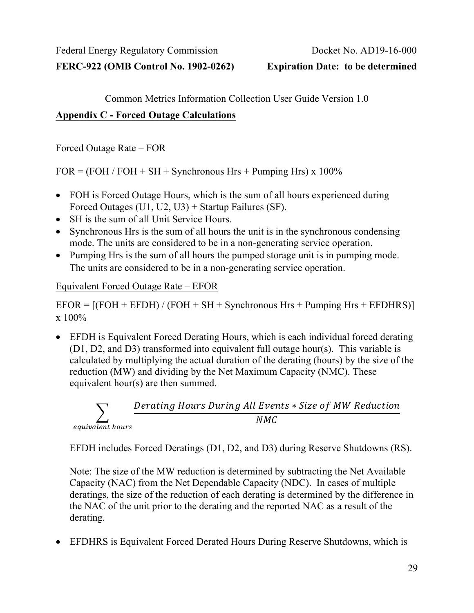Common Metrics Information Collection User Guide Version 1.0

#### <span id="page-28-0"></span>**Appendix C - Forced Outage Calculations**

Forced Outage Rate – FOR

 $FOR = (FOH / FOH + SH + Synchronous Hrs + Pumping Hrs) \times 100\%$ 

- FOH is Forced Outage Hours, which is the sum of all hours experienced during Forced Outages (U1, U2, U3) + Startup Failures (SF).
- SH is the sum of all Unit Service Hours.
- Synchronous Hrs is the sum of all hours the unit is in the synchronous condensing mode. The units are considered to be in a non-generating service operation.
- Pumping Hrs is the sum of all hours the pumped storage unit is in pumping mode. The units are considered to be in a non-generating service operation.

#### Equivalent Forced Outage Rate – EFOR

 $EFOR = [(FOH + EFDH) / (FOH + SH + Synchronous Hrs + Pumping Hrs + EFDHRS)]$ x 100%

• EFDH is Equivalent Forced Derating Hours, which is each individual forced derating (D1, D2, and D3) transformed into equivalent full outage hour(s). This variable is calculated by multiplying the actual duration of the derating (hours) by the size of the reduction (MW) and dividing by the Net Maximum Capacity (NMC). These equivalent hour(s) are then summed.



EFDH includes Forced Deratings (D1, D2, and D3) during Reserve Shutdowns (RS).

Note: The size of the MW reduction is determined by subtracting the Net Available Capacity (NAC) from the Net Dependable Capacity (NDC). In cases of multiple deratings, the size of the reduction of each derating is determined by the difference in the NAC of the unit prior to the derating and the reported NAC as a result of the derating.

• EFDHRS is Equivalent Forced Derated Hours During Reserve Shutdowns, which is